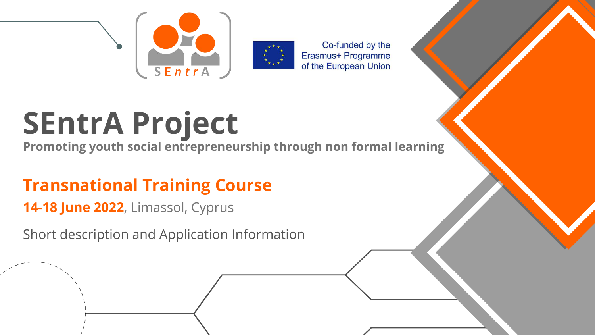



Co-funded by the Erasmus+ Programme of the European Union

Short description and Application Information



#### **Transnational Training Course 14-18 June 2022**, Limassol, Cyprus

# **SEntrA Project**

**Promoting youth social entrepreneurship through non formal learning**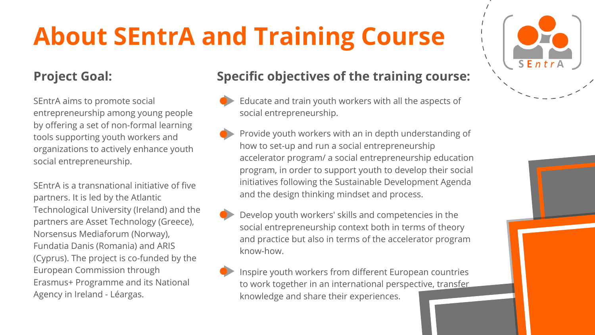- Educate and train youth workers with all the aspects of social entrepreneurship.
- Provide youth workers with an in depth understanding of how to set-up and run a social entrepreneurship accelerator program/ a social entrepreneurship education program, in order to support youth to develop their social initiatives following the Sustainable Development Agenda and the design thinking mindset and process.
- Develop youth workers' skills and competencies in the social entrepreneurship context both in terms of theory and practice but also in terms of the accelerator program know-how.
	- Inspire youth workers from different European countries to work together in an international perspective, transfer knowledge and share their experiences.





### **About SEntrA and Training Course**

#### **Project Goal: Specific objectives of the training course:**

SEntrA aims to promote social entrepreneurship among young people by offering a set of non-formal learning tools supporting youth workers and organizations to actively enhance youth social entrepreneurship.

SEntrA is a transnational initiative of five partners. It is led by the Atlantic Technological University (Ireland) and the partners are Asset Technology (Greece), Norsensus Mediaforum (Norway), Fundatia Danis (Romania) and ARIS (Cyprus). The project is co-funded by the European Commission through Erasmus+ Programme and its National Agency in Ireland - Léargas.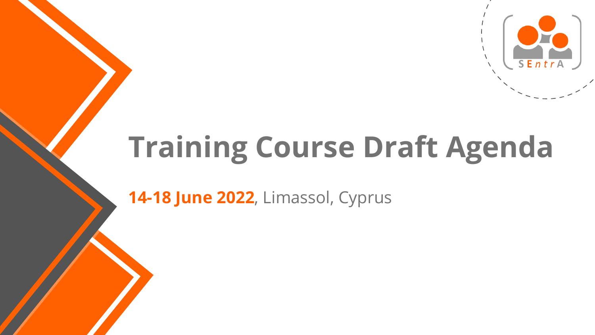## **Training Course Draft Agenda**

**14-18 June 2022**, Limassol, Cyprus

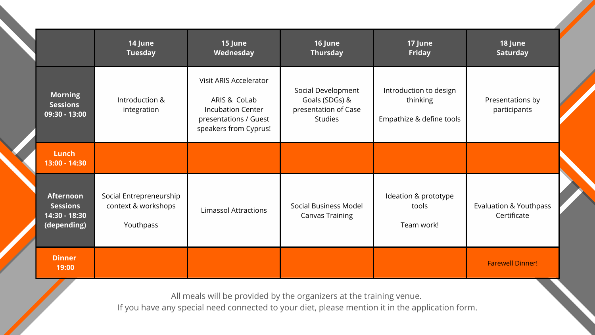|                                                                     | <b>14 June</b><br><b>Tuesday</b>                            | <b>15 June</b><br>Wednesday                                                                                                 | <b>16 June</b><br><b>Thursday</b>                                              | <b>17 June</b><br><b>Friday</b>                                | 18 June<br><b>Saturday</b>                       |
|---------------------------------------------------------------------|-------------------------------------------------------------|-----------------------------------------------------------------------------------------------------------------------------|--------------------------------------------------------------------------------|----------------------------------------------------------------|--------------------------------------------------|
| <b>Morning</b><br><b>Sessions</b><br>$\overline{09:}30 - 13:00$     | Introduction &<br>integration                               | <b>Visit ARIS Accelerator</b><br>ARIS & CoLab<br><b>Incubation Center</b><br>presentations / Guest<br>speakers from Cyprus! | Social Development<br>Goals (SDGs) &<br>presentation of Case<br><b>Studies</b> | Introduction to design<br>thinking<br>Empathize & define tools | Presentations by<br>participants                 |
| Lunch<br>13:00 - 14:30                                              |                                                             |                                                                                                                             |                                                                                |                                                                |                                                  |
| <b>Afternoon</b><br><b>Sessions</b><br>14:30 - 18:30<br>(depending) | Social Entrepreneurship<br>context & workshops<br>Youthpass | <b>Limassol Attractions</b>                                                                                                 | <b>Social Business Model</b><br><b>Canvas Training</b>                         | Ideation & prototype<br>tools<br>Team work!                    | <b>Evaluation &amp; Youthpass</b><br>Certificate |
| <b>Dinner</b><br>19:00                                              |                                                             |                                                                                                                             |                                                                                |                                                                | <b>Farewell Dinner!</b>                          |

All meals will be provided by the organizers at the training venue. If you have any special need connected to your diet, please mention it in the application form.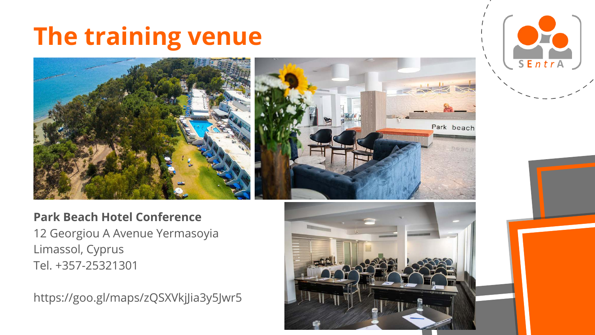#### **The training venue**





#### **Park Beach Hotel Conference**

12 Georgiou A Avenue Yermasoyia Limassol, Cyprus Tel. +357-25321301

https://goo.gl/maps/zQSXVkjJia3y5Jwr5

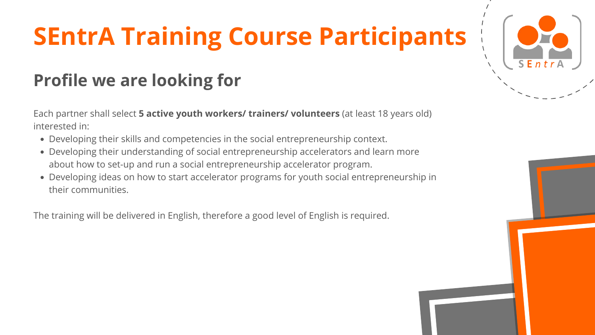## **SEntrA Training Course Participants**

- Developing their skills and competencies in the social entrepreneurship context.
- Developing their understanding of social entrepreneurship accelerators and learn more about how to set-up and run a social entrepreneurship accelerator program.
- Developing ideas on how to start accelerator programs for youth social entrepreneurship in their communities.

Each partner shall select **5 active youth workers/ trainers/ volunteers** (at least 18 years old) interested in:

The training will be delivered in English, therefore a good level of English is required.





#### **Profile we are looking for**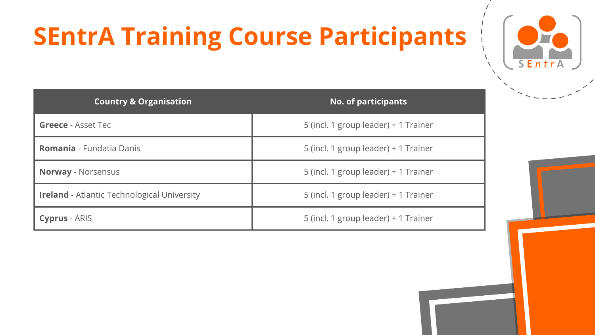## **SEntrA Training Course Participants**

| <b>Country &amp; Organisation</b>                  | No. of part          |
|----------------------------------------------------|----------------------|
| <b>Greece - Asset Tec</b>                          | 5 (incl. 1 group lea |
| <b>Romania</b> - Fundatia Danis                    | 5 (incl. 1 group lea |
| <b>Norway - Norsensus</b>                          | 5 (incl. 1 group lea |
| <b>Ireland</b> - Atlantic Technological University | 5 (incl. 1 group lea |
| <b>Cyprus</b> - ARIS                               | 5 (incl. 1 group lea |



#### **Country & Organisation No. of participants**

- ader) + 1 Trainer
- ader) + 1 Trainer
- ader) + 1 Trainer
- ader) + 1 Trainer
- ader) + 1 Trainer

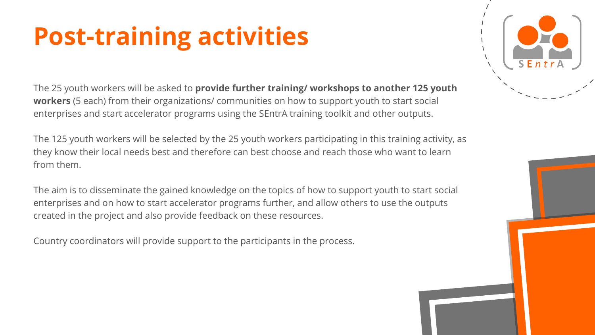#### **Post-training activities**

The 25 youth workers will be asked to **provide further training/ workshops to another 125 youth workers** (5 each) from their organizations/ communities on how to support youth to start social enterprises and start accelerator programs using the SEntrA training toolkit and other outputs.

The 125 youth workers will be selected by the 25 youth workers participating in this training activity, as they know their local needs best and therefore can best choose and reach those who want to learn from them.

The aim is to disseminate the gained knowledge on the topics of how to support youth to start social enterprises and on how to start accelerator programs further, and allow others to use the outputs created in the project and also provide feedback on these resources.

Country coordinators will provide support to the participants in the process.



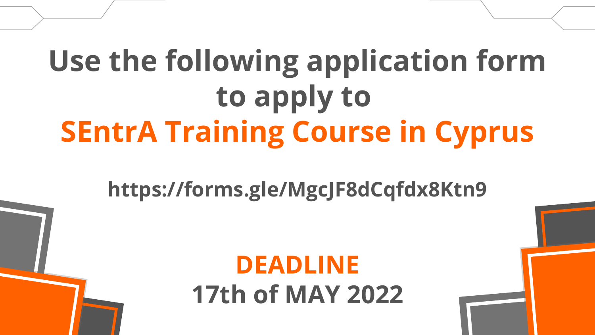# **Use the following application form to apply to SEntrA Training Course in Cyprus**

#### **DEADLINE 17th of MAY 2022**



#### **https://forms.gle/MgcJF8dCqfdx8Ktn9**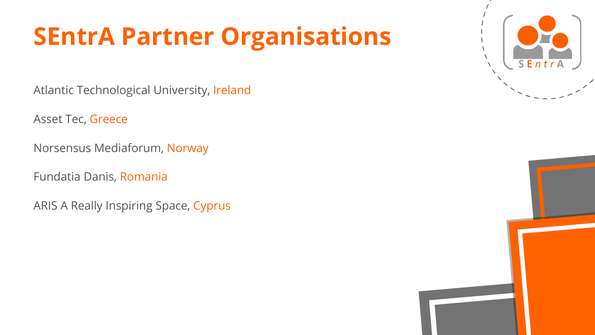#### **SEntrA Partner Organisations**

Atlantic Technological University, Ireland

Asset Tec, Greece

Norsensus Mediaforum, Norway

Fundatia Danis, Romania

ARIS A Really Inspiring Space, Cyprus